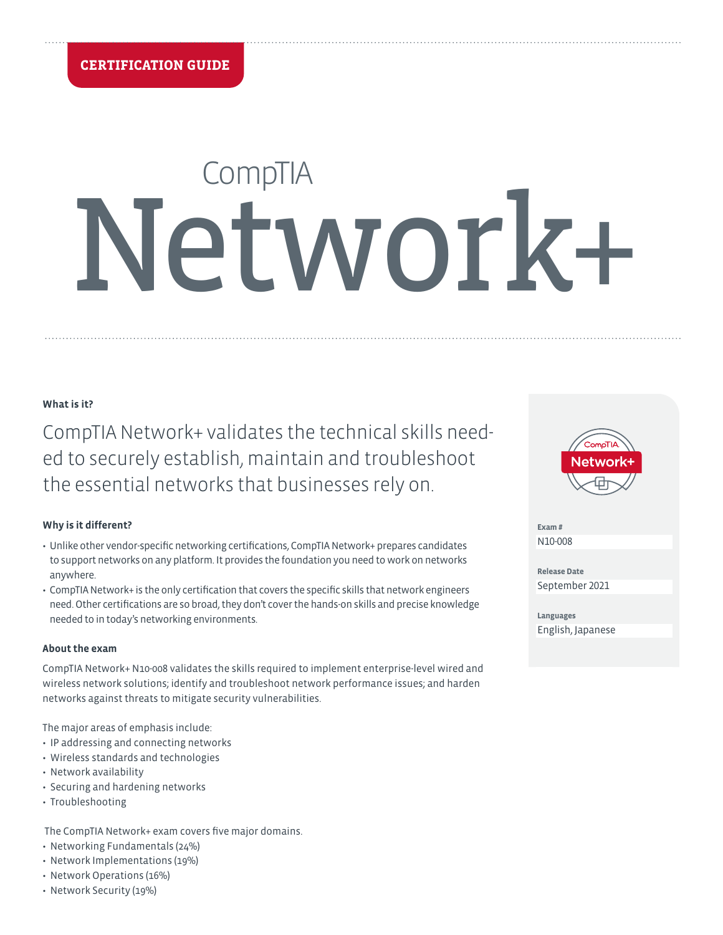# **CompTIA** Network+

## **What is it?**

CompTIA Network+ validates the technical skills needed to securely establish, maintain and troubleshoot the essential networks that businesses rely on.

## **Why is it different?**

- Unlike other vendor-specific networking certifications, CompTIA Network+ prepares candidates to support networks on any platform. It provides the foundation you need to work on networks anywhere.
- CompTIA Network+ is the only certification that covers the specific skills that network engineers need. Other certifications are so broad, they don't cover the hands-on skills and precise knowledge needed to in today's networking environments.

## **About the exam**

CompTIA Network+ N10-008 validates the skills required to implement enterprise-level wired and wireless network solutions; identify and troubleshoot network performance issues; and harden networks against threats to mitigate security vulnerabilities.

The major areas of emphasis include:

- IP addressing and connecting networks
- Wireless standards and technologies
- Network availability
- Securing and hardening networks
- Troubleshooting

The CompTIA Network+ exam covers five major domains.

- Networking Fundamentals (24%)
- Network Implementations (19%)
- Network Operations (16%)
- Network Security (19%)



**Exam #** N10-008

**Release Date** September 2021

**Languages** English, Japanese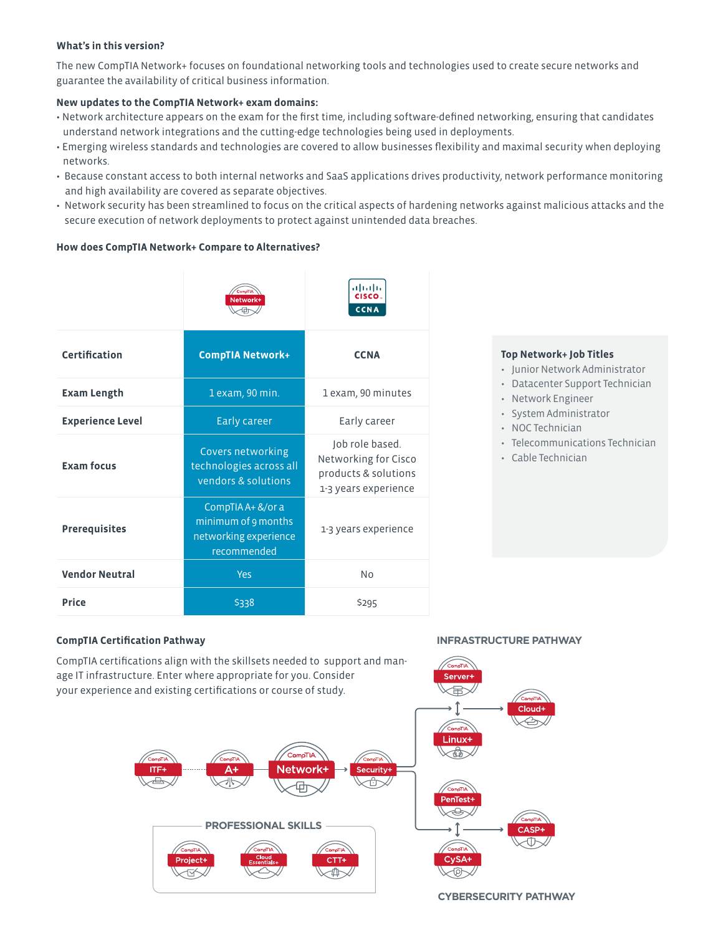## **What's in this version?**

The new CompTIA Network+ focuses on foundational networking tools and technologies used to create secure networks and guarantee the availability of critical business information.

## **New updates to the CompTIA Network+ exam domains:**

- Network architecture appears on the exam for the first time, including software-defined networking, ensuring that candidates understand network integrations and the cutting-edge technologies being used in deployments.
- Emerging wireless standards and technologies are covered to allow businesses flexibility and maximal security when deploying networks.
- Because constant access to both internal networks and SaaS applications drives productivity, network performance monitoring and high availability are covered as separate objectives.
- Network security has been streamlined to focus on the critical aspects of hardening networks against malicious attacks and the secure execution of network deployments to protect against unintended data breaches.

## **How does CompTIA Network+ Compare to Alternatives?**

|                         | Network+                                                                         | ahaha<br>CISCO.<br>CCNA                                                                 |
|-------------------------|----------------------------------------------------------------------------------|-----------------------------------------------------------------------------------------|
| Certification           | <b>CompTIA Network+</b>                                                          | <b>CCNA</b>                                                                             |
| Exam Length             | 1 exam, 90 min.                                                                  | 1 exam, 90 minutes                                                                      |
| <b>Experience Level</b> | <b>Early career</b>                                                              | Early career                                                                            |
| <b>Exam focus</b>       | Covers networking<br>technologies across all<br>vendors & solutions              | Job role based.<br>Networking for Cisco<br>products & solutions<br>1-3 years experience |
| <b>Prerequisites</b>    | CompTIA A+ &/or a<br>minimum of 9 months<br>networking experience<br>recommended | 1-3 years experience                                                                    |
| <b>Vendor Neutral</b>   | Yes                                                                              | No                                                                                      |
| <b>Price</b>            | \$338                                                                            | \$295                                                                                   |

## **Top Network+ Job Titles**

- Junior Network Administrator
- Datacenter Support Technician
- Network Engineer
- System Administrator
- NOC Technician
	- Telecommunications Technician
	- Cable Technician

## **CompTIA Certification Pathway**

CompTIA certifications align with the skillsets needed to support and manage IT infrastructure. Enter where appropriate for you. Consider your experience and existing certifications or course of study.



## **INFRASTRUCTURE PATHWAY**

**CYBERSECURITY PATHWAY**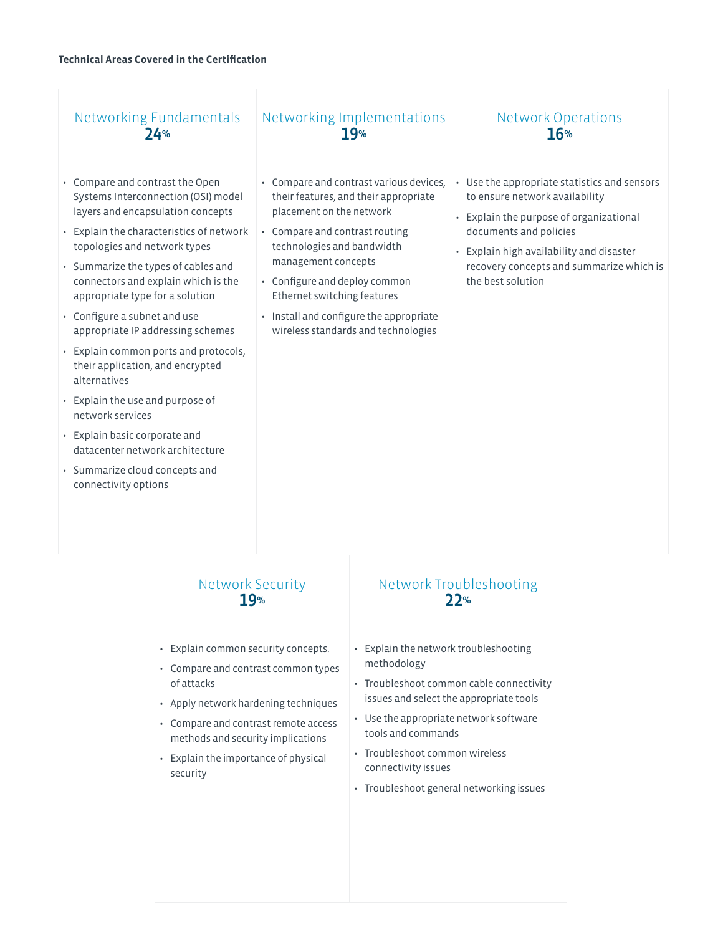# Networking Fundamentals  $24%$

- Compare and contrast the Open Systems Interconnection (OSI) model layers and encapsulation concepts
- Explain the characteristics of network topologies and network types
- Summarize the types of cables and connectors and explain which is the appropriate type for a solution
- Configure a subnet and use appropriate IP addressing schemes
- Explain common ports and protocols, their application, and encrypted alternatives
- Explain the use and purpose of network services
- Explain basic corporate and datacenter network architecture
- Summarize cloud concepts and connectivity options

# Networking Implementations 19%

- Compare and contrast various devices, their features, and their appropriate placement on the network
- Compare and contrast routing technologies and bandwidth management concepts
- Configure and deploy common Ethernet switching features
- Install and configure the appropriate wireless standards and technologies

# Network Operations 16%

- Use the appropriate statistics and sensors to ensure network availability
- Explain the purpose of organizational documents and policies
- Explain high availability and disaster recovery concepts and summarize which is the best solution

# Network Security 19%

- Explain common security concepts.
- Compare and contrast common types of attacks
- Apply network hardening techniques
- Compare and contrast remote access methods and security implications
- Explain the importance of physical security

# Network Troubleshooting 22%

- Explain the network troubleshooting methodology
- Troubleshoot common cable connectivity issues and select the appropriate tools
- Use the appropriate network software tools and commands
- Troubleshoot common wireless connectivity issues
- Troubleshoot general networking issues